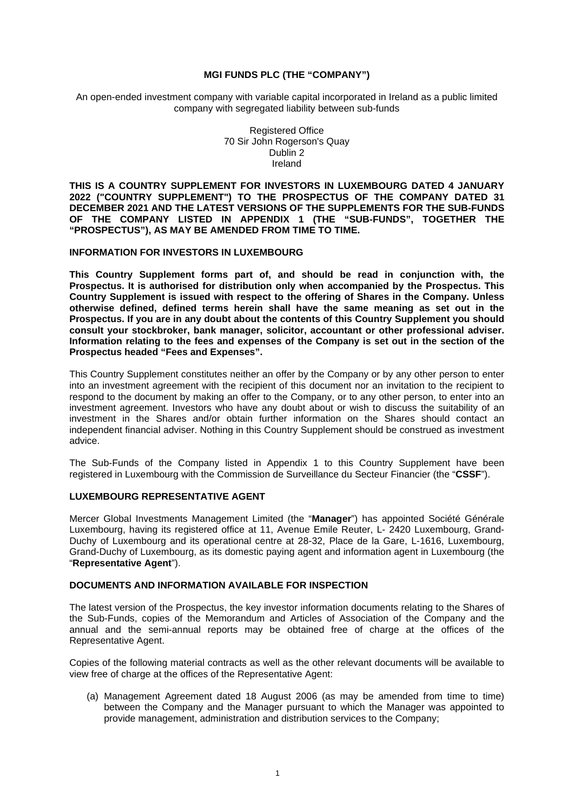### **MGI FUNDS PLC (THE "COMPANY")**

An open-ended investment company with variable capital incorporated in Ireland as a public limited company with segregated liability between sub-funds

> Registered Office 70 Sir John Rogerson's Quay Dublin 2 Ireland

**THIS IS A COUNTRY SUPPLEMENT FOR INVESTORS IN LUXEMBOURG DATED 4 JANUARY 2022 ("COUNTRY SUPPLEMENT") TO THE PROSPECTUS OF THE COMPANY DATED 31 DECEMBER 2021 AND THE LATEST VERSIONS OF THE SUPPLEMENTS FOR THE SUB-FUNDS OF THE COMPANY LISTED IN APPENDIX 1 (THE "SUB-FUNDS", TOGETHER THE "PROSPECTUS"), AS MAY BE AMENDED FROM TIME TO TIME.** 

### **INFORMATION FOR INVESTORS IN LUXEMBOURG**

**This Country Supplement forms part of, and should be read in conjunction with, the Prospectus. It is authorised for distribution only when accompanied by the Prospectus. This Country Supplement is issued with respect to the offering of Shares in the Company. Unless otherwise defined, defined terms herein shall have the same meaning as set out in the Prospectus. If you are in any doubt about the contents of this Country Supplement you should consult your stockbroker, bank manager, solicitor, accountant or other professional adviser. Information relating to the fees and expenses of the Company is set out in the section of the Prospectus headed "Fees and Expenses".** 

This Country Supplement constitutes neither an offer by the Company or by any other person to enter into an investment agreement with the recipient of this document nor an invitation to the recipient to respond to the document by making an offer to the Company, or to any other person, to enter into an investment agreement. Investors who have any doubt about or wish to discuss the suitability of an investment in the Shares and/or obtain further information on the Shares should contact an independent financial adviser. Nothing in this Country Supplement should be construed as investment advice.

The Sub-Funds of the Company listed in Appendix 1 to this Country Supplement have been registered in Luxembourg with the Commission de Surveillance du Secteur Financier (the "**CSSF**").

## **LUXEMBOURG REPRESENTATIVE AGENT**

Mercer Global Investments Management Limited (the "**Manager**") has appointed Société Générale Luxembourg, having its registered office at 11, Avenue Emile Reuter, L- 2420 Luxembourg, Grand-Duchy of Luxembourg and its operational centre at 28-32, Place de la Gare, L-1616, Luxembourg, Grand-Duchy of Luxembourg, as its domestic paying agent and information agent in Luxembourg (the "**Representative Agent**").

#### **DOCUMENTS AND INFORMATION AVAILABLE FOR INSPECTION**

The latest version of the Prospectus, the key investor information documents relating to the Shares of the Sub-Funds, copies of the Memorandum and Articles of Association of the Company and the annual and the semi-annual reports may be obtained free of charge at the offices of the Representative Agent.

Copies of the following material contracts as well as the other relevant documents will be available to view free of charge at the offices of the Representative Agent:

(a) Management Agreement dated 18 August 2006 (as may be amended from time to time) between the Company and the Manager pursuant to which the Manager was appointed to provide management, administration and distribution services to the Company;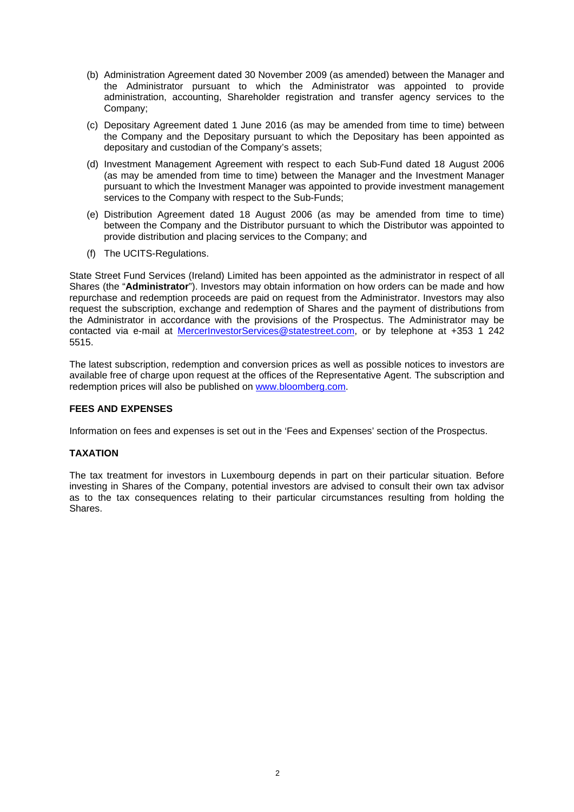- (b) Administration Agreement dated 30 November 2009 (as amended) between the Manager and the Administrator pursuant to which the Administrator was appointed to provide administration, accounting, Shareholder registration and transfer agency services to the Company;
- (c) Depositary Agreement dated 1 June 2016 (as may be amended from time to time) between the Company and the Depositary pursuant to which the Depositary has been appointed as depositary and custodian of the Company's assets;
- (d) Investment Management Agreement with respect to each Sub-Fund dated 18 August 2006 (as may be amended from time to time) between the Manager and the Investment Manager pursuant to which the Investment Manager was appointed to provide investment management services to the Company with respect to the Sub-Funds;
- (e) Distribution Agreement dated 18 August 2006 (as may be amended from time to time) between the Company and the Distributor pursuant to which the Distributor was appointed to provide distribution and placing services to the Company; and
- (f) The UCITS-Regulations.

State Street Fund Services (Ireland) Limited has been appointed as the administrator in respect of all Shares (the "**Administrator**"). Investors may obtain information on how orders can be made and how repurchase and redemption proceeds are paid on request from the Administrator. Investors may also request the subscription, exchange and redemption of Shares and the payment of distributions from the Administrator in accordance with the provisions of the Prospectus. The Administrator may be contacted via e-mail at [MercerInvestorServices@statestreet.com,](mailto:MercerInvestorServices@statestreet.com) or by telephone at +353 1 242 5515.

The latest subscription, redemption and conversion prices as well as possible notices to investors are available free of charge upon request at the offices of the Representative Agent. The subscription and redemption prices will also be published on [www.bloomberg.com.](http://www.bloomberg.com/)

# **FEES AND EXPENSES**

Information on fees and expenses is set out in the 'Fees and Expenses' section of the Prospectus.

# **TAXATION**

The tax treatment for investors in Luxembourg depends in part on their particular situation. Before investing in Shares of the Company, potential investors are advised to consult their own tax advisor as to the tax consequences relating to their particular circumstances resulting from holding the Shares.